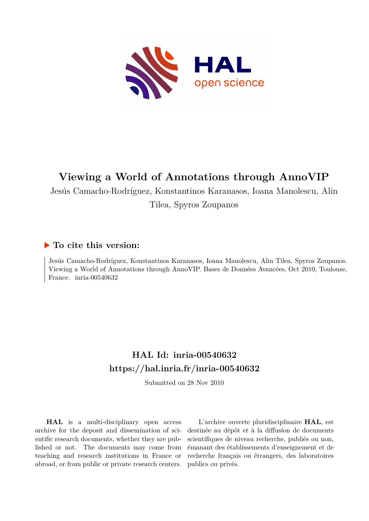

# **Viewing a World of Annotations through AnnoVIP**

Jesús Camacho-Rodríguez, Konstantinos Karanasos, Ioana Manolescu, Alin

Tilea, Spyros Zoupanos

### **To cite this version:**

Jesús Camacho-Rodríguez, Konstantinos Karanasos, Ioana Manolescu, Alin Tilea, Spyros Zoupanos. Viewing a World of Annotations through AnnoVIP. Bases de Données Avancées, Oct 2010, Toulouse, France. inria-00540632

# **HAL Id: inria-00540632 <https://hal.inria.fr/inria-00540632>**

Submitted on 28 Nov 2010

**HAL** is a multi-disciplinary open access archive for the deposit and dissemination of scientific research documents, whether they are published or not. The documents may come from teaching and research institutions in France or abroad, or from public or private research centers.

L'archive ouverte pluridisciplinaire **HAL**, est destinée au dépôt et à la diffusion de documents scientifiques de niveau recherche, publiés ou non, émanant des établissements d'enseignement et de recherche français ou étrangers, des laboratoires publics ou privés.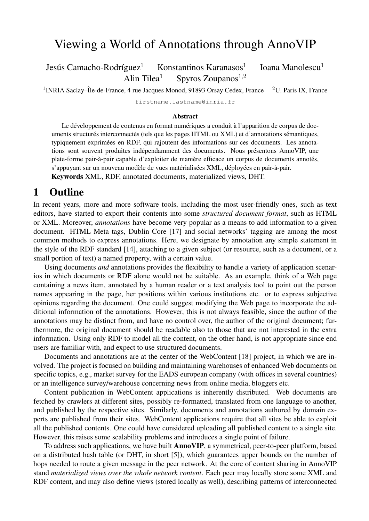# Viewing a World of Annotations through AnnoVIP

Konstantinos Karanasos<sup>1</sup> Jesús Camacho-Rodríguez<sup>1</sup> Ioana Manolescu<sup>1</sup> Alin Tilea $<sup>1</sup>$ </sup> Spyros Zoupanos<sup> $1,2$ </sup>

<sup>1</sup>INRIA Saclay–Île-de-France, 4 rue Jacques Monod, 91893 Orsay Cedex, France <sup>2</sup>U. Paris IX. France

firstname.lastname@inria.fr

#### **Abstract**

Le développement de contenus en format numériques a conduit à l'apparition de corpus de documents structurés interconnectés (tels que les pages HTML ou XML) et d'annotations sémantiques, typiquement exprimées en RDF, qui rajoutent des informations sur ces documents. Les annotations sont souvent produites indépendamment des documents. Nous présentons AnnoVIP, une plate-forme pair-à-pair capable d'exploiter de manière efficace un corpus de documents annotés, s'appuyant sur un nouveau modèle de vues matérialisées XML, déployées en pair-à-pair.

Keywords XML, RDF, annotated documents, materialized views, DHT.

#### **Outline**  $\mathbf 1$

In recent years, more and more software tools, including the most user-friendly ones, such as text editors, have started to export their contents into some *structured document format*, such as HTML or XML. Moreover, *annotations* have become very popular as a means to add information to a given document. HTML Meta tags, Dublin Core [17] and social networks' tagging are among the most common methods to express annotations. Here, we designate by annotation any simple statement in the style of the RDF standard [14], attaching to a given subject (or resource, such as a document, or a small portion of text) a named property, with a certain value.

Using documents *and* annotations provides the flexibility to handle a variety of application scenarios in which documents or RDF alone would not be suitable. As an example, think of a Web page containing a news item, annotated by a human reader or a text analysis tool to point out the person names appearing in the page, her positions within various institutions etc. or to express subjective opinions regarding the document. One could suggest modifying the Web page to incorporate the additional information of the annotations. However, this is not always feasible, since the author of the annotations may be distinct from, and have no control over, the author of the original document; furthermore, the original document should be readable also to those that are not interested in the extra information. Using only RDF to model all the content, on the other hand, is not appropriate since end users are familiar with, and expect to use structured documents.

Documents and annotations are at the center of the WebContent [18] project, in which we are involved. The project is focused on building and maintaining warehouses of enhanced Web documents on specific topics, e.g., market survey for the EADS european company (with offices in several countries) or an intelligence survey/warehouse concerning news from online media, bloggers etc.

Content publication in WebContent applications is inherently distributed. Web documents are fetched by crawlers at different sites, possibly re-formatted, translated from one language to another, and published by the respective sites. Similarly, documents and annotations authored by domain experts are published from their sites. WebContent applications require that all sites be able to exploit all the published contents. One could have considered uploading all published content to a single site. However, this raises some scalability problems and introduces a single point of failure.

To address such applications, we have built **AnnoVIP**, a symmetrical, peer-to-peer platform, based on a distributed hash table (or DHT, in short [5]), which guarantees upper bounds on the number of hops needed to route a given message in the peer network. At the core of content sharing in AnnoVIP stand materialized views over the whole network content. Each peer may locally store some XML and RDF content, and may also define views (stored locally as well), describing patterns of interconnected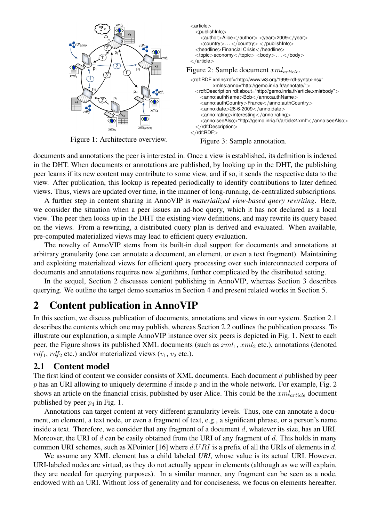

Figure 1: Architecture overview.



Figure 3: Sample annotation.

documents and annotations the peer is interested in. Once a view is established, its definition is indexed in the DHT. When documents or annotations are published, by looking up in the DHT, the publishing peer learns if its new content may contribute to some view, and if so, it sends the respective data to the view. After publication, this lookup is repeated periodically to identify contributions to later defined views. Thus, views are updated over time, in the manner of long-running, de-centralized subscriptions.

A further step in content sharing in AnnoVIP is *materialized view-based query rewriting*. Here, we consider the situation when a peer issues an ad-hoc query, which it has not declared as a local view. The peer then looks up in the DHT the existing view definitions, and may rewrite its query based on the views. From a rewriting, a distributed query plan is derived and evaluated. When available, pre-computed materialized views may lead to efficient query evaluation.

The novelty of AnnoVIP stems from its built-in dual support for documents and annotations at arbitrary granularity (one can annotate a document, an element, or even a text fragment). Maintaining and exploiting materialized views for efficient query processing over such interconnected corpora of documents and annotations requires new algorithms, further complicated by the distributed setting.

In the sequel, Section 2 discusses content publishing in AnnoVIP, whereas Section 3 describes querying. We outline the target demo scenarios in Section 4 and present related works in Section 5.

### 2 Content publication in AnnoVIP

In this section, we discuss publication of documents, annotations and views in our system. Section 2.1 describes the contents which one may publish, whereas Section 2.2 outlines the publication process. To illustrate our explanation, a simple AnnoVIP instance over six peers is depicted in Fig. 1. Next to each peer, the Figure shows its published XML documents (such as  $xml_1$ ,  $xml_2$  etc.), annotations (denoted  $\text{rdf}_1$ ,  $\text{rdf}_2$  etc.) and/or materialized views ( $v_1$ ,  $v_2$  etc.).

### 2.1 Content model

The first kind of content we consider consists of XML documents. Each document d published by peer  $p$  has an URI allowing to uniquely determine  $d$  inside  $p$  and in the whole network. For example, Fig. 2 shows an article on the financial crisis, published by user Alice. This could be the  $xml_{article}$  document published by peer  $p_4$  in Fig. 1.

Annotations can target content at very different granularity levels. Thus, one can annotate a document, an element, a text node, or even a fragment of text, e.g., a significant phrase, or a person's name inside a text. Therefore, we consider that any fragment of a document d, whatever its size, has an URI. Moreover, the URI of d can be easily obtained from the URI of any fragment of d. This holds in many common URI schemes, such as XPointer [16] where  $d.URI$  is a prefix of all the URIs of elements in d.

We assume any XML element has a child labeled *URI*, whose value is its actual URI. However, URI-labeled nodes are virtual, as they do not actually appear in elements (although as we will explain, they are needed for querying purposes). In a similar manner, any fragment can be seen as a node, endowed with an URI. Without loss of generality and for conciseness, we focus on elements hereafter.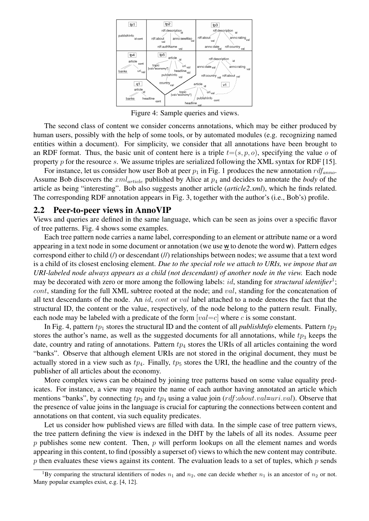

Figure 4: Sample queries and views.

The second class of content we consider concerns annotations, which may be either produced by human users, possibly with the help of some tools, or by automated modules (e.g. recognizing named entities within a document). For simplicity, we consider that all annotations have been brought to an RDF format. Thus, the basic unit of content here is a triple  $t=(s, p, o)$ , specifying the value o of property p for the resource s. We assume triples are serialized following the XML syntax for RDF [15].

For instance, let us consider how user Bob at peer  $p_1$  in Fig. 1 produces the new annotation  $\mathit{rdf}_{anno}$ . Assume Bob discovers the xmlarticle published by Alice at p<sup>4</sup> and decides to annotate the *body* of the article as being "interesting". Bob also suggests another article (*article2.xml*), which he finds related. The corresponding RDF annotation appears in Fig. 3, together with the author's (i.e., Bob's) profile.

### 2.2 Peer-to-peer views in AnnoVIP

Views and queries are defined in the same language, which can be seen as joins over a specific flavor of tree patterns. Fig. 4 shows some examples.

Each tree pattern node carries a name label, corresponding to an element or attribute name or a word appearing in a text node in some document or annotation (we use w to denote the word w). Pattern edges correspond either to child (*/*) or descendant (*//*) relationships between nodes; we assume that a text word is a child of its closest enclosing element. *Due to the special role we attach to URIs, we impose that an URI-labeled node always appears as a child (not descendant) of another node in the view.* Each node may be decorated with zero or more among the following labels: id, standing for *structural identifier*<sup>1</sup> ; cont, standing for the full XML subtree rooted at the node; and val, standing for the concatenation of all text descendants of the node. An id, cont or val label attached to a node denotes the fact that the structural ID, the content or the value, respectively, of the node belong to the pattern result. Finally, each node may be labeled with a predicate of the form  $[val=c]$  where c is some constant.

In Fig. 4, pattern  $tp_1$  stores the structural ID and the content of all *publishInfo* elements. Pattern  $tp_2$ stores the author's name, as well as the suggested documents for all annotations, while  $tp_3$  keeps the date, country and rating of annotations. Pattern  $tp_4$  stores the URIs of all articles containing the word "banks". Observe that although element URIs are not stored in the original document, they must be actually stored in a view such as  $tp_4$ . Finally,  $tp_5$  stores the URI, the headline and the country of the publisher of all articles about the economy.

More complex views can be obtained by joining tree patterns based on some value equality predicates. For instance, a view may require the name of each author having annotated an article which mentions "banks", by connecting  $tp_2$  and  $tp_4$  using a value join (rdf:about.val=uri.val). Observe that the presence of value joins in the language is crucial for capturing the connections between content and annotations on that content, via such equality predicates.

Let us consider how published views are filled with data. In the simple case of tree pattern views, the tree pattern defining the view is indexed in the DHT by the labels of all its nodes. Assume peer  $p$  publishes some new content. Then,  $p$  will perform lookups on all the element names and words appearing in this content, to find (possibly a superset of) views to which the new content may contribute. p then evaluates these views against its content. The evaluation leads to a set of tuples, which  $p$  sends

<sup>&</sup>lt;sup>1</sup>By comparing the structural identifiers of nodes  $n_1$  and  $n_2$ , one can decide whether  $n_1$  is an ancestor of  $n_2$  or not. Many popular examples exist, e.g. [4, 12].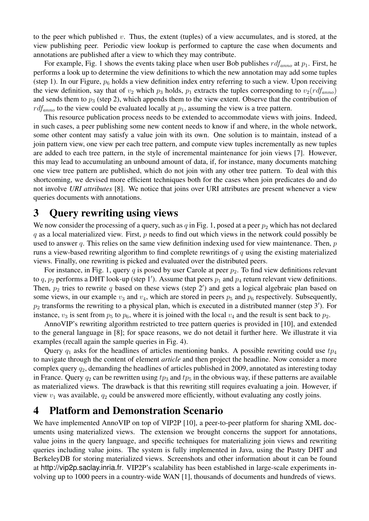to the peer which published  $v$ . Thus, the extent (tuples) of a view accumulates, and is stored, at the view publishing peer. Periodic view lookup is performed to capture the case when documents and annotations are published after a view to which they may contribute.

For example, Fig. 1 shows the events taking place when user Bob publishes  $\text{rd}f_{anno}$  at  $p_1$ . First, he performs a look up to determine the view definitions to which the new annotation may add some tuples (step 1). In our Figure,  $p_6$  holds a view definition index entry referring to such a view. Upon receiving the view definition, say that of  $v_2$  which  $p_3$  holds,  $p_1$  extracts the tuples corresponding to  $v_2(rdf_{anno})$ and sends them to  $p_3$  (step 2), which appends them to the view extent. Observe that the contribution of  $rdf_{anno}$  to the view could be evaluated locally at  $p_1$ , assuming the view is a tree pattern.

This resource publication process needs to be extended to accommodate views with joins. Indeed, in such cases, a peer publishing some new content needs to know if and where, in the whole network, some other content may satisfy a value join with its own. One solution is to maintain, instead of a join pattern view, one view per each tree pattern, and compute view tuples incrementally as new tuples are added to each tree pattern, in the style of incremental maintenance for join views [7]. However, this may lead to accumulating an unbound amount of data, if, for instance, many documents matching one view tree pattern are published, which do not join with any other tree pattern. To deal with this shortcoming, we devised more efficient techniques both for the cases when join predicates do and do not involve *URI attributes* [8]. We notice that joins over URI attributes are present whenever a view queries documents with annotations.

### 3 Query rewriting using views

We now consider the processing of a query, such as q in Fig. 1, posed at a peer  $p_2$  which has not declared  $q$  as a local materialized view. First, p needs to find out which views in the network could possibly be used to answer q. This relies on the same view definition indexing used for view maintenance. Then,  $p$ runs a view-based rewriting algorithm to find complete rewritings of q using the existing materialized views. Finally, one rewriting is picked and evaluated over the distributed peers.

For instance, in Fig. 1, query q is posed by user Carole at peer  $p_2$ . To find view definitions relevant to q,  $p_2$  performs a DHT look-up (step 1'). Assume that peers  $p_1$  and  $p_4$  return relevant view definitions. Then,  $p_2$  tries to rewrite q based on these views (step 2') and gets a logical algebraic plan based on some views, in our example  $v_3$  and  $v_4$ , which are stored in peers  $p_5$  and  $p_6$  respectively. Subsequently,  $p_2$  transforms the rewriting to a physical plan, which is executed in a distributed manner (step 3'). For instance,  $v_3$  is sent from  $p_5$  to  $p_6$ , where it is joined with the local  $v_4$  and the result is sent back to  $p_2$ .

AnnoVIP's rewriting algorithm restricted to tree pattern queries is provided in [10], and extended to the general language in [8]; for space reasons, we do not detail it further here. We illustrate it via examples (recall again the sample queries in Fig. 4).

Query  $q_1$  asks for the headlines of articles mentioning banks. A possible rewriting could use  $tp_4$ to navigate through the content of element *article* and then project the headline. Now consider a more complex query  $q_2$ , demanding the headlines of articles published in 2009, annotated as interesting today in France. Query  $q_2$  can be rewritten using  $tp_3$  and  $tp_5$  in the obvious way, if these patterns are available as materialized views. The drawback is that this rewriting still requires evaluating a join. However, if view  $v_1$  was available,  $q_2$  could be answered more efficiently, without evaluating any costly joins.

### 4 Platform and Demonstration Scenario

We have implemented AnnoVIP on top of VIP2P [10], a peer-to-peer platform for sharing XML documents using materialized views. The extension we brought concerns the support for annotations, value joins in the query language, and specific techniques for materializing join views and rewriting queries including value joins. The system is fully implemented in Java, using the Pastry DHT and BerkeleyDB for storing materialized views. Screenshots and other information about it can be found at http://vip2p.saclay.inria.fr. VIP2P's scalability has been established in large-scale experiments involving up to 1000 peers in a country-wide WAN [1], thousands of documents and hundreds of views.